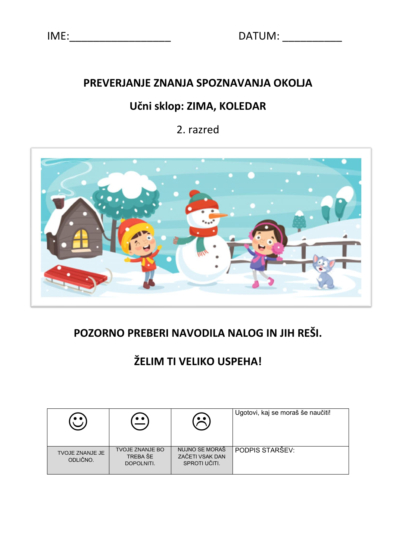## **PREVERJANJE ZNANJA SPOZNAVANJA OKOLJA**

## **Učni sklop: ZIMA, KOLEDAR**

2. razred



# **POZORNO PREBERI NAVODILA NALOG IN JIH REŠI.**

# **ŽELIM TI VELIKO USPEHA!**

|                                    |                                                  | $\bullet$ $\bullet$ .                              | Ugotovi, kaj se moraš še naučiti! |
|------------------------------------|--------------------------------------------------|----------------------------------------------------|-----------------------------------|
| <b>TVOJE ZNANJE JE</b><br>ODLIČNO. | <b>TVOJE ZNANJE BO</b><br>TREBA ŠE<br>DOPOLNITI. | NUJNO SE MORAŠ<br>ZAČETI VSAK DAN<br>SPROTI UČITI. | PODPIS STARŠEV:                   |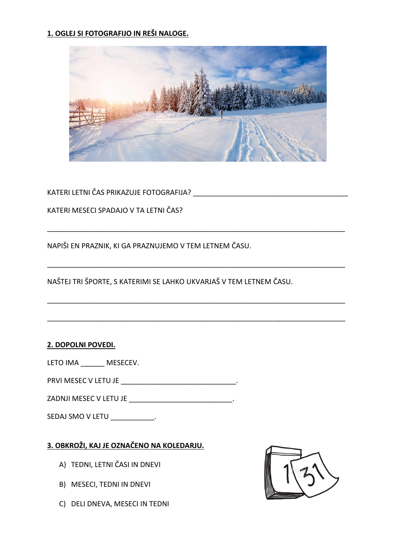## **1. OGLEJ SI FOTOGRAFIJO IN REŠI NALOGE.**



\_\_\_\_\_\_\_\_\_\_\_\_\_\_\_\_\_\_\_\_\_\_\_\_\_\_\_\_\_\_\_\_\_\_\_\_\_\_\_\_\_\_\_\_\_\_\_\_\_\_\_\_\_\_\_\_\_\_\_\_\_\_\_\_\_\_\_\_\_\_\_\_\_\_\_

\_\_\_\_\_\_\_\_\_\_\_\_\_\_\_\_\_\_\_\_\_\_\_\_\_\_\_\_\_\_\_\_\_\_\_\_\_\_\_\_\_\_\_\_\_\_\_\_\_\_\_\_\_\_\_\_\_\_\_\_\_\_\_\_\_\_\_\_\_\_\_\_\_\_\_

\_\_\_\_\_\_\_\_\_\_\_\_\_\_\_\_\_\_\_\_\_\_\_\_\_\_\_\_\_\_\_\_\_\_\_\_\_\_\_\_\_\_\_\_\_\_\_\_\_\_\_\_\_\_\_\_\_\_\_\_\_\_\_\_\_\_\_\_\_\_\_\_\_\_\_

\_\_\_\_\_\_\_\_\_\_\_\_\_\_\_\_\_\_\_\_\_\_\_\_\_\_\_\_\_\_\_\_\_\_\_\_\_\_\_\_\_\_\_\_\_\_\_\_\_\_\_\_\_\_\_\_\_\_\_\_\_\_\_\_\_\_\_\_\_\_\_\_\_\_\_

KATERI LETNI ČAS PRIKAZUJE FOTOGRAFIJA?

KATERI MESECI SPADAJO V TA LETNI ČAS?

NAPIŠI EN PRAZNIK, KI GA PRAZNUJEMO V TEM LETNEM ČASU.

NAŠTEJ TRI ŠPORTE, S KATERIMI SE LAHKO UKVARJAŠ V TEM LETNEM ČASU.

#### **2. DOPOLNI POVEDI.**

LETO IMA MESECEV.

PRVI MESEC V LETU JE \_\_\_\_\_\_\_\_\_\_\_\_\_\_\_\_\_\_\_\_\_\_\_\_\_\_\_\_\_.

ZADNJI MESEC V LETU JE \_\_\_\_\_\_\_\_\_\_\_\_\_\_\_\_\_\_\_\_\_\_\_\_\_\_.

SEDAJ SMO V LETU \_\_\_\_\_\_\_\_\_\_\_\_.

## **3. OBKROŽI, KAJ JE OZNAČENO NA KOLEDARJU.**

- A) TEDNI, LETNI ČASI IN DNEVI
- B) MESECI, TEDNI IN DNEVI
- C) DELI DNEVA, MESECI IN TEDNI

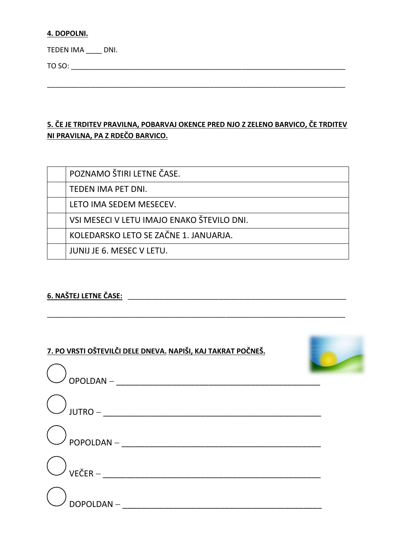#### **4. DOPOLNI.**

TEDEN IMA \_\_\_\_ DNI.

TO SO: \_\_\_\_\_\_\_\_\_\_\_\_\_\_\_\_\_\_\_\_\_\_\_\_\_\_\_\_\_\_\_\_\_\_\_\_\_\_\_\_\_\_\_\_\_\_\_\_\_\_\_\_\_\_\_\_\_\_\_\_\_\_\_\_\_\_\_\_\_

## **5. ČE JE TRDITEV PRAVILNA, POBARVAJ OKENCE PRED NJO Z ZELENO BARVICO, ČE TRDITEV NI PRAVILNA, PA Z RDEČO BARVICO.**

\_\_\_\_\_\_\_\_\_\_\_\_\_\_\_\_\_\_\_\_\_\_\_\_\_\_\_\_\_\_\_\_\_\_\_\_\_\_\_\_\_\_\_\_\_\_\_\_\_\_\_\_\_\_\_\_\_\_\_\_\_\_\_\_\_\_\_\_\_\_\_\_\_\_\_

| POZNAMO ŠTIRI LETNE ČASE.                  |
|--------------------------------------------|
| TEDEN IMA PET DNI.                         |
| LETO IMA SEDEM MESECEV.                    |
| VSI MESECI V LETU IMAJO ENAKO ŠTEVILO DNI. |
| KOLEDARSKO LETO SE ZAČNE 1. JANUARJA.      |
| JUNIJ JE 6. MESEC V LETU.                  |

\_\_\_\_\_\_\_\_\_\_\_\_\_\_\_\_\_\_\_\_\_\_\_\_\_\_\_\_\_\_\_\_\_\_\_\_\_\_\_\_\_\_\_\_\_\_\_\_\_\_\_\_\_\_\_\_\_\_\_\_\_\_\_\_\_\_\_\_\_\_\_\_\_\_\_

## **6. NAŠTEJ LETNE ČASE:** \_\_\_\_\_\_\_\_\_\_\_\_\_\_\_\_\_\_\_\_\_\_\_\_\_\_\_\_\_\_\_\_\_\_\_\_\_\_\_\_\_\_\_\_\_\_\_\_\_\_\_\_\_\_\_



| )<br>OPOLDAN – |  |
|----------------|--|
|                |  |
|                |  |
|                |  |
| DOPOLDAN-      |  |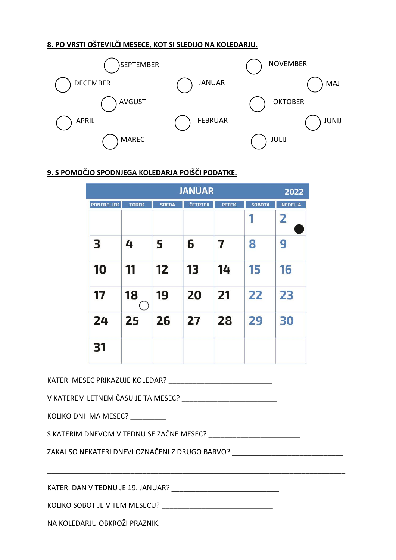## **8. PO VRSTI OŠTEVILČI MESECE, KOT SI SLEDIJO NA KOLEDARJU.**



## **9. S POMOČJO SPODNJEGA KOLEDARJA POIŠČI PODATKE.**

| <b>JANUAR</b>           |              |              |         |              |               |                |
|-------------------------|--------------|--------------|---------|--------------|---------------|----------------|
| <b>PONEDELJEK</b>       | <b>TOREK</b> | <b>SREDA</b> | ČETRTEK | <b>PETEK</b> | <b>SOBOTA</b> | <b>NEDELJA</b> |
|                         |              |              |         |              | 1             | $\overline{2}$ |
| $\overline{\mathbf{3}}$ | 4            | 5            | 6       | 7            | 8             | 9              |
| 10                      | 11           | 12           | 13      | 14           | 15            | 16             |
| 17                      | 18           | 19           | 20      | 21           | 22            | 23             |
| 24                      | 25           | 26           | 27      | 28           | 29            | 30             |
| 31                      |              |              |         |              |               |                |

KATERI MESEC PRIKAZUJE KOLEDAR?

V KATEREM LETNEM ČASU JE TA MESEC?

KOLIKO DNI IMA MESEC?

S KATERIM DNEVOM V TEDNU SE ZAČNE MESEC? \_\_\_\_\_\_\_\_\_\_\_\_\_\_\_\_\_\_\_\_\_\_\_

\_\_\_\_\_\_\_\_\_\_\_\_\_\_\_\_\_\_\_\_\_\_\_\_\_\_\_\_\_\_\_\_\_\_\_\_\_\_\_\_\_\_\_\_\_\_\_\_\_\_\_\_\_\_\_\_\_\_\_\_\_\_\_\_\_\_\_\_\_\_\_\_\_\_\_

ZAKAJ SO NEKATERI DNEVI OZNAČENI Z DRUGO BARVO?

KATERI DAN V TEDNU JE 19. JANUAR? \_\_\_\_\_\_\_\_\_\_\_\_\_\_\_\_\_\_\_\_\_\_\_\_\_\_\_

KOLIKO SOBOT JE V TEM MESECU?

NA KOLEDARJU OBKROŽI PRAZNIK.